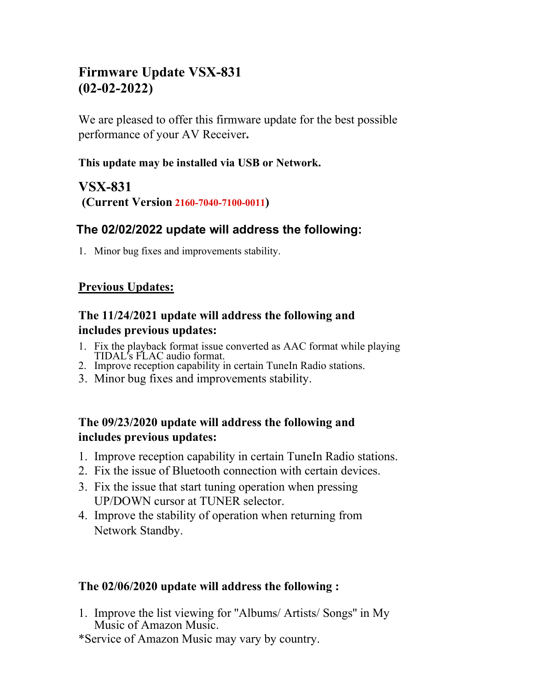# **Firmware Update VSX-831 (02-02-2022)**

We are pleased to offer this firmware update for the best possible performance of your AV Receiver**.**

#### **This update may be installed via USB or Network.**

## **VSX-831 (Current Version 2160-7040-7100-0011)**

## **The 02/02/2022 update will address the following:**

1. Minor bug fixes and improvements stability.

## **Previous Updates:**

### **The 11/24/2021 update will address the following and includes previous updates:**

- 1. Fix the playback format issue converted as AAC format while playing TIDAL's FLAC audio format.
- 2. Improve reception capability in certain TuneIn Radio stations.
- 3. Minor bug fixes and improvements stability.

#### **The 09/23/2020 update will address the following and includes previous updates:**

- 1. Improve reception capability in certain TuneIn Radio stations.
- 2. Fix the issue of Bluetooth connection with certain devices.
- 3. Fix the issue that start tuning operation when pressing UP/DOWN cursor at TUNER selector.
- 4. Improve the stability of operation when returning from Network Standby.

#### **The 02/06/2020 update will address the following :**

- 1. Improve the list viewing for ''Albums/ Artists/ Songs'' in My Music of Amazon Music.
- \*Service of Amazon Music may vary by country.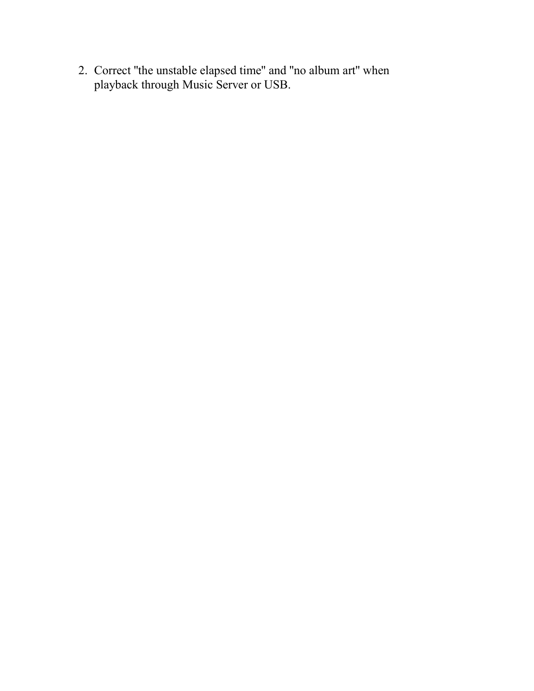2. Correct ''the unstable elapsed time'' and ''no album art'' when playback through Music Server or USB.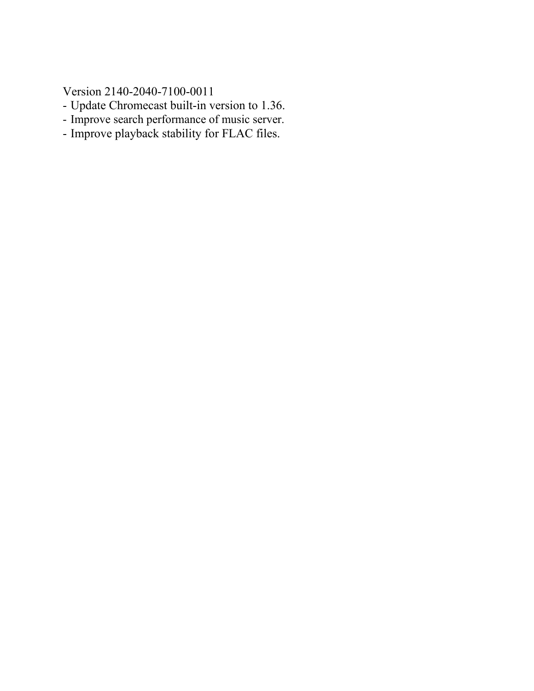Version 2140-2040-7100-0011

- Update Chromecast built-in version to 1.36.
- Improve search performance of music server.
- Improve playback stability for FLAC files.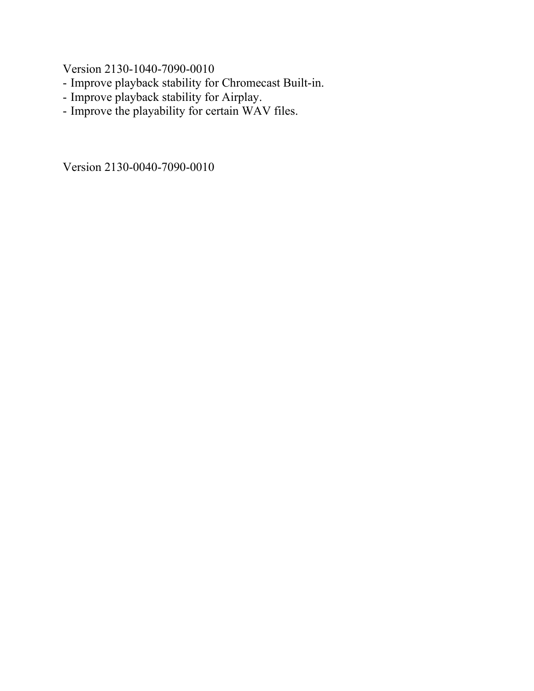Version 2130-1040-7090-0010

- Improve playback stability for Chromecast Built-in.
- Improve playback stability for Airplay.
- Improve the playability for certain WAV files.

Version 2130-0040-7090-0010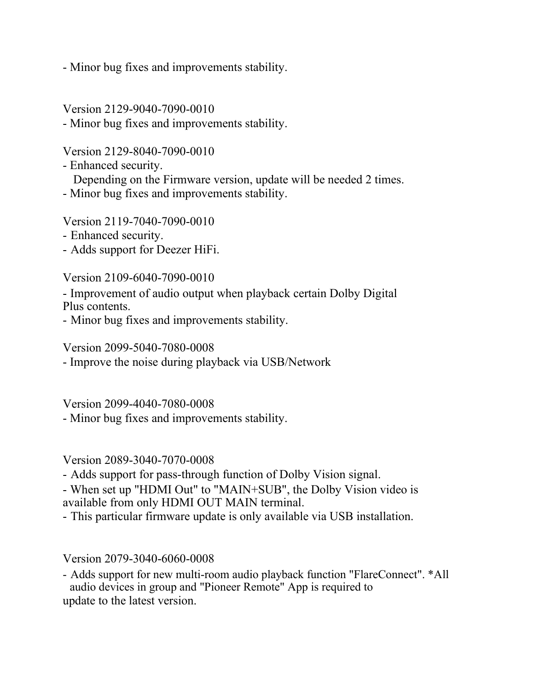- Minor bug fixes and improvements stability.

Version 2129-9040-7090-0010

- Minor bug fixes and improvements stability.

Version 2129-8040-7090-0010

- Enhanced security. Depending on the Firmware version, update will be needed 2 times.

- Minor bug fixes and improvements stability.

Version 2119-7040-7090-0010

- Enhanced security.
- Adds support for Deezer HiFi.

Version 2109-6040-7090-0010

- Improvement of audio output when playback certain Dolby Digital Plus contents.

- Minor bug fixes and improvements stability.

Version 2099-5040-7080-0008

- Improve the noise during playback via USB/Network

Version 2099-4040-7080-0008

- Minor bug fixes and improvements stability.

Version 2089-3040-7070-0008

- Adds support for pass-through function of Dolby Vision signal.

- When set up "HDMI Out" to "MAIN+SUB", the Dolby Vision video is available from only HDMI OUT MAIN terminal.

- This particular firmware update is only available via USB installation.

Version 2079-3040-6060-0008

- Adds support for new multi-room audio playback function "FlareConnect". \*All audio devices in group and "Pioneer Remote" App is required to update to the latest version.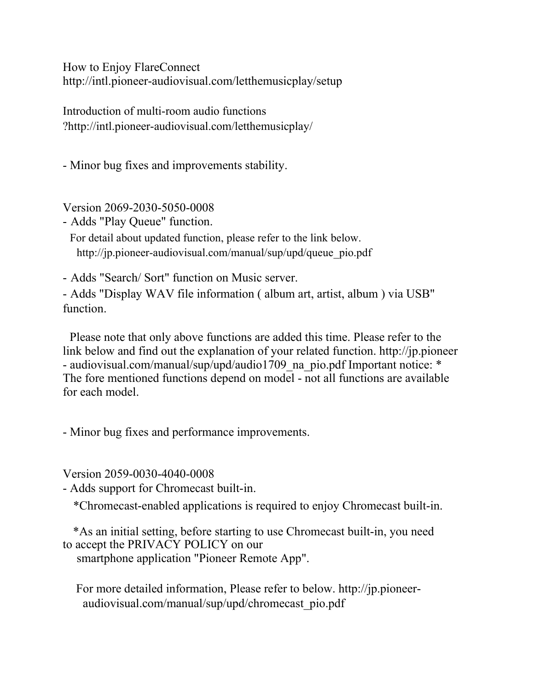How to Enjoy FlareConnect http://intl.pioneer-audiovisual.com/letthemusicplay/setup

Introduction of multi-room audio functions ?http://intl.pioneer-audiovisual.com/letthemusicplay/

- Minor bug fixes and improvements stability.

Version 2069-2030-5050-0008

- Adds "Play Queue" function.

For detail about updated function, please refer to the link below. http://jp.pioneer-audiovisual.com/manual/sup/upd/queue\_pio.pdf

- Adds "Search/ Sort" function on Music server.

- Adds "Display WAV file information ( album art, artist, album ) via USB" function.

Please note that only above functions are added this time. Please refer to the link below and find out the explanation of your related function. http://jp.pioneer - audiovisual.com/manual/sup/upd/audio1709 na pio.pdf Important notice: \* The fore mentioned functions depend on model - not all functions are available for each model.

- Minor bug fixes and performance improvements.

Version 2059-0030-4040-0008

- Adds support for Chromecast built-in.

\*Chromecast-enabled applications is required to enjoy Chromecast built-in.

\*As an initial setting, before starting to use Chromecast built-in, you need to accept the PRIVACY POLICY on our smartphone application "Pioneer Remote App".

For more detailed information, Please refer to below. http://jp.pioneeraudiovisual.com/manual/sup/upd/chromecast\_pio.pdf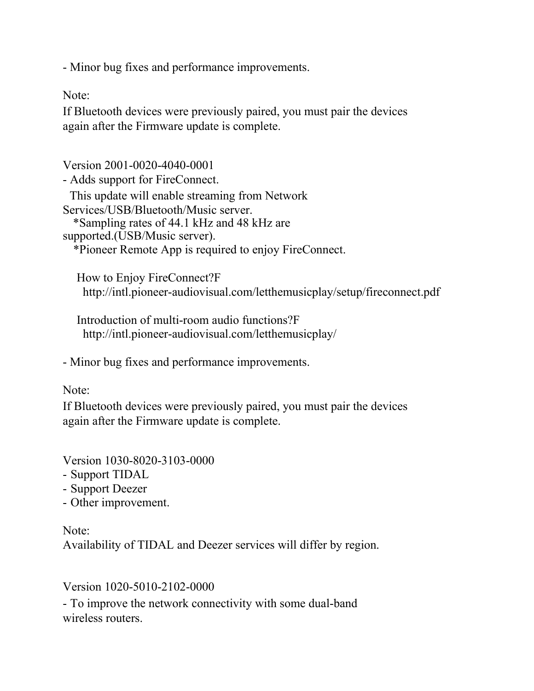- Minor bug fixes and performance improvements.

Note:

If Bluetooth devices were previously paired, you must pair the devices again after the Firmware update is complete.

Version 2001-0020-4040-0001 - Adds support for FireConnect. This update will enable streaming from Network Services/USB/Bluetooth/Music server. \*Sampling rates of 44.1 kHz and 48 kHz are supported.(USB/Music server). \*Pioneer Remote App is required to enjoy FireConnect.

How to Enjoy FireConnect?F http://intl.pioneer-audiovisual.com/letthemusicplay/setup/fireconnect.pdf

Introduction of multi-room audio functions?F http://intl.pioneer-audiovisual.com/letthemusicplay/

- Minor bug fixes and performance improvements.

#### Note:

If Bluetooth devices were previously paired, you must pair the devices again after the Firmware update is complete.

Version 1030-8020-3103-0000

- Support TIDAL
- Support Deezer
- Other improvement.

Note: Availability of TIDAL and Deezer services will differ by region.

Version 1020-5010-2102-0000

- To improve the network connectivity with some dual-band wireless routers.